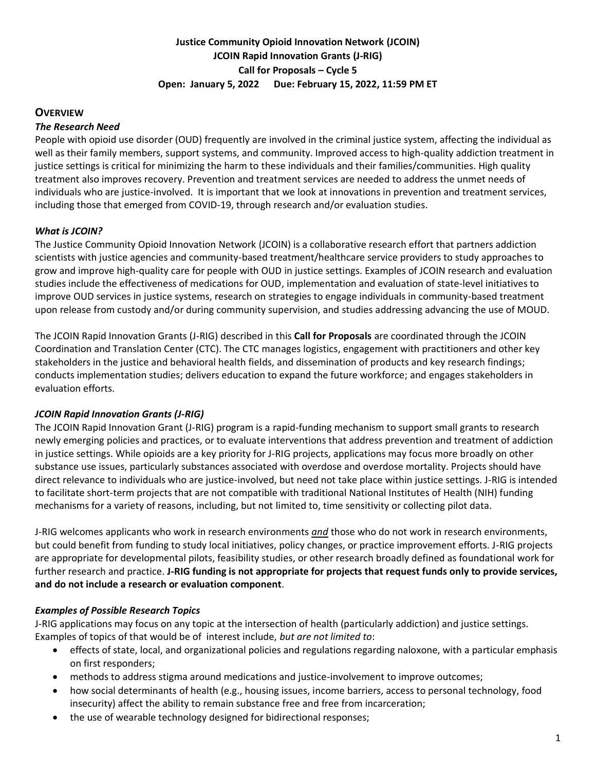# **Justice Community Opioid Innovation Network (JCOIN) JCOIN Rapid Innovation Grants (J-RIG) Call for Proposals – Cycle 5 Open: January 5, 2022 Due: February 15, 2022, 11:59 PM ET**

### **OVERVIEW**

### *The Research Need*

People with opioid use disorder (OUD) frequently are involved in the criminal justice system, affecting the individual as well as their family members, support systems, and community. Improved access to high-quality addiction treatment in justice settings is critical for minimizing the harm to these individuals and their families/communities. High quality treatment also improves recovery. Prevention and treatment services are needed to address the unmet needs of individuals who are justice-involved. It is important that we look at innovations in prevention and treatment services, including those that emerged from COVID-19, through research and/or evaluation studies.

### *What is JCOIN?*

The Justice Community Opioid Innovation Network (JCOIN) is a collaborative research effort that partners addiction scientists with justice agencies and community-based treatment/healthcare service providers to study approaches to grow and improve high-quality care for people with OUD in justice settings. Examples of JCOIN research and evaluation studies include the effectiveness of medications for OUD, implementation and evaluation of state-level initiatives to improve OUD services in justice systems, research on strategies to engage individuals in community-based treatment upon release from custody and/or during community supervision, and studies addressing advancing the use of MOUD.

The JCOIN Rapid Innovation Grants (J-RIG) described in this **Call for Proposals** are coordinated through the JCOIN Coordination and Translation Center (CTC). The CTC manages logistics, engagement with practitioners and other key stakeholders in the justice and behavioral health fields, and dissemination of products and key research findings; conducts implementation studies; delivers education to expand the future workforce; and engages stakeholders in evaluation efforts.

### *JCOIN Rapid Innovation Grants (J-RIG)*

The JCOIN Rapid Innovation Grant (J-RIG) program is a rapid-funding mechanism to support small grants to research newly emerging policies and practices, or to evaluate interventions that address prevention and treatment of addiction in justice settings. While opioids are a key priority for J-RIG projects, applications may focus more broadly on other substance use issues, particularly substances associated with overdose and overdose mortality. Projects should have direct relevance to individuals who are justice-involved, but need not take place within justice settings. J-RIG is intended to facilitate short-term projects that are not compatible with traditional National Institutes of Health (NIH) funding mechanisms for a variety of reasons, including, but not limited to, time sensitivity or collecting pilot data.

J-RIG welcomes applicants who work in research environments *and* those who do not work in research environments, but could benefit from funding to study local initiatives, policy changes, or practice improvement efforts. J-RIG projects are appropriate for developmental pilots, feasibility studies, or other research broadly defined as foundational work for further research and practice. **J-RIG funding is not appropriate for projects that request funds only to provide services, and do not include a research or evaluation component**.

### *Examples of Possible Research Topics*

J-RIG applications may focus on any topic at the intersection of health (particularly addiction) and justice settings. Examples of topics of that would be of interest include, *but are not limited to*:

- effects of state, local, and organizational policies and regulations regarding naloxone, with a particular emphasis on first responders;
- methods to address stigma around medications and justice-involvement to improve outcomes;
- how social determinants of health (e.g., housing issues, income barriers, access to personal technology, food insecurity) affect the ability to remain substance free and free from incarceration;
- the use of wearable technology designed for bidirectional responses;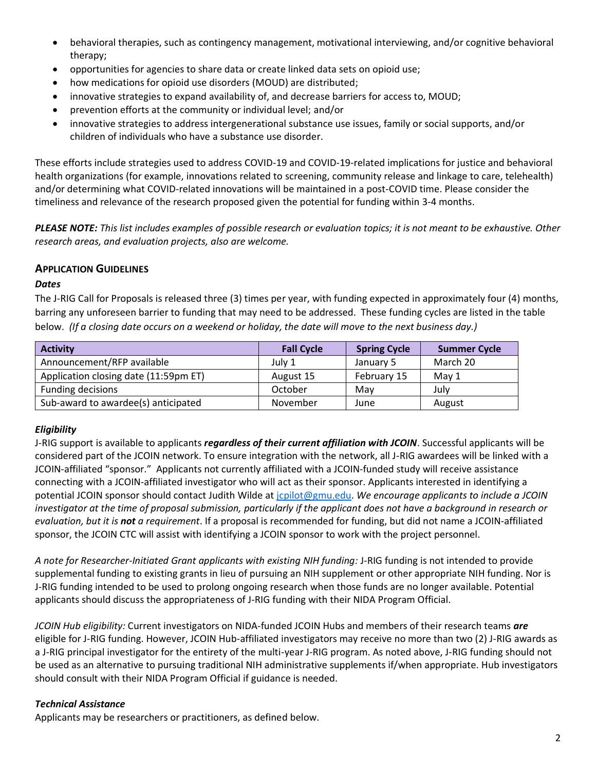- behavioral therapies, such as contingency management, motivational interviewing, and/or cognitive behavioral therapy;
- opportunities for agencies to share data or create linked data sets on opioid use;
- how medications for opioid use disorders (MOUD) are distributed;
- innovative strategies to expand availability of, and decrease barriers for access to, MOUD;
- prevention efforts at the community or individual level; and/or
- innovative strategies to address intergenerational substance use issues, family or social supports, and/or children of individuals who have a substance use disorder.

These efforts include strategies used to address COVID-19 and COVID-19-related implications for justice and behavioral health organizations (for example, innovations related to screening, community release and linkage to care, telehealth) and/or determining what COVID-related innovations will be maintained in a post-COVID time. Please consider the timeliness and relevance of the research proposed given the potential for funding within 3-4 months.

*PLEASE NOTE: This list includes examples of possible research or evaluation topics; it is not meant to be exhaustive. Other research areas, and evaluation projects, also are welcome.*

### **APPLICATION GUIDELINES**

### *Dates*

The J-RIG Call for Proposals is released three (3) times per year, with funding expected in approximately four (4) months, barring any unforeseen barrier to funding that may need to be addressed. These funding cycles are listed in the table below. *(If a closing date occurs on a weekend or holiday, the date will move to the next business day.)*

| <b>Activity</b>                       | <b>Fall Cycle</b> | <b>Spring Cycle</b> | <b>Summer Cycle</b> |
|---------------------------------------|-------------------|---------------------|---------------------|
| Announcement/RFP available            | Julv 1            | January 5           | March 20            |
| Application closing date (11:59pm ET) | August 15         | February 15         | May 1               |
| Funding decisions                     | October           | Mav                 | Julv                |
| Sub-award to awardee(s) anticipated   | November          | June                | August              |

### *Eligibility*

J-RIG support is available to applicants *regardless of their current affiliation with JCOIN*. Successful applicants will be considered part of the JCOIN network. To ensure integration with the network, all J-RIG awardees will be linked with a JCOIN-affiliated "sponsor." Applicants not currently affiliated with a JCOIN-funded study will receive assistance connecting with a JCOIN-affiliated investigator who will act as their sponsor. Applicants interested in identifying a potential JCOIN sponsor should contact Judith Wilde at [jcpilot@gmu.edu.](mailto:jcpilot@gmu.edu) *We encourage applicants to include a JCOIN investigator at the time of proposal submission, particularly if the applicant does not have a background in research or evaluation, but it is not a requirement*. If a proposal is recommended for funding, but did not name a JCOIN-affiliated sponsor, the JCOIN CTC will assist with identifying a JCOIN sponsor to work with the project personnel.

*A note for Researcher-Initiated Grant applicants with existing NIH funding:* J-RIG funding is not intended to provide supplemental funding to existing grants in lieu of pursuing an NIH supplement or other appropriate NIH funding. Nor is J-RIG funding intended to be used to prolong ongoing research when those funds are no longer available. Potential applicants should discuss the appropriateness of J-RIG funding with their NIDA Program Official.

*JCOIN Hub eligibility:* Current investigators on NIDA-funded JCOIN Hubs and members of their research teams *are*  eligible for J-RIG funding. However, JCOIN Hub-affiliated investigators may receive no more than two (2) J-RIG awards as a J-RIG principal investigator for the entirety of the multi-year J-RIG program. As noted above, J-RIG funding should not be used as an alternative to pursuing traditional NIH administrative supplements if/when appropriate. Hub investigators should consult with their NIDA Program Official if guidance is needed.

### *Technical Assistance*

Applicants may be researchers or practitioners, as defined below.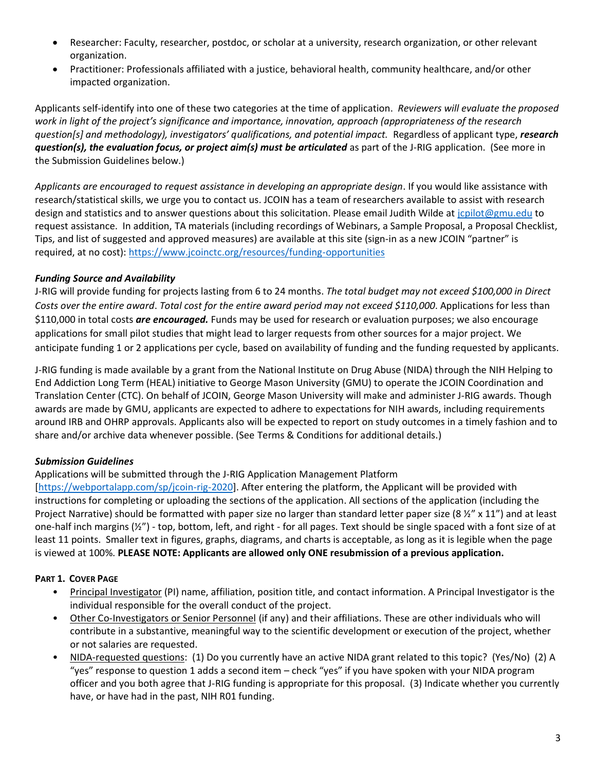- Researcher: Faculty, researcher, postdoc, or scholar at a university, research organization, or other relevant organization.
- Practitioner: Professionals affiliated with a justice, behavioral health, community healthcare, and/or other impacted organization.

Applicants self-identify into one of these two categories at the time of application. *Reviewers will evaluate the proposed work in light of the project's significance and importance, innovation, approach (appropriateness of the research question[s] and methodology), investigators' qualifications, and potential impact.* Regardless of applicant type, *research question(s), the evaluation focus, or project aim(s) must be articulated* as part of the J-RIG application. (See more in the Submission Guidelines below.)

*Applicants are encouraged to request assistance in developing an appropriate design*. If you would like assistance with research/statistical skills, we urge you to contact us. JCOIN has a team of researchers available to assist with research design and statistics and to answer questions about this solicitation. Please email Judith Wilde at [jcpilot@gmu.edu](mailto:jcpilot@gmu.edu) to request assistance. In addition, TA materials (including recordings of Webinars, a Sample Proposal, a Proposal Checklist, Tips, and list of suggested and approved measures) are available at this site (sign-in as a new JCOIN "partner" is required, at no cost):<https://www.jcoinctc.org/resources/funding-opportunities>

## *Funding Source and Availability*

J-RIG will provide funding for projects lasting from 6 to 24 months. *The total budget may not exceed \$100,000 in Direct Costs over the entire award*. *Total cost for the entire award period may not exceed \$110,000*. Applications for less than \$110,000 in total costs *are encouraged.* Funds may be used for research or evaluation purposes; we also encourage applications for small pilot studies that might lead to larger requests from other sources for a major project. We anticipate funding 1 or 2 applications per cycle, based on availability of funding and the funding requested by applicants*.*

J-RIG funding is made available by a grant from the National Institute on Drug Abuse (NIDA) through the NIH Helping to End Addiction Long Term (HEAL) initiative to George Mason University (GMU) to operate the JCOIN Coordination and Translation Center (CTC). On behalf of JCOIN, George Mason University will make and administer J-RIG awards. Though awards are made by GMU, applicants are expected to adhere to expectations for NIH awards, including requirements around IRB and OHRP approvals. Applicants also will be expected to report on study outcomes in a timely fashion and to share and/or archive data whenever possible. (See Terms & Conditions for additional details.)

## *Submission Guidelines*

### Applications will be submitted through the J-RIG Application Management Platform

[\[https://webportalapp.com/sp/jcoin-rig-2020\]](https://webportalapp.com/sp/jcoin-rig-2020). After entering the platform, the Applicant will be provided with instructions for completing or uploading the sections of the application. All sections of the application (including the Project Narrative) should be formatted with paper size no larger than standard letter paper size (8  $\frac{1}{2}$  x 11") and at least one-half inch margins (½") - top, bottom, left, and right - for all pages. Text should be single spaced with a font size of at least 11 points. Smaller text in figures, graphs, diagrams, and charts is acceptable, as long as it is legible when the page is viewed at 100%. **PLEASE NOTE: Applicants are allowed only ONE resubmission of a previous application.**

### **PART 1. COVER PAGE**

- Principal Investigator (PI) name, affiliation, position title, and contact information. A Principal Investigator is the individual responsible for the overall conduct of the project.
- Other Co-Investigators or Senior Personnel (if any) and their affiliations. These are other individuals who will contribute in a substantive, meaningful way to the scientific development or execution of the project, whether or not salaries are requested.
- NIDA-requested questions: (1) Do you currently have an active NIDA grant related to this topic? (Yes/No) (2) A "yes" response to question 1 adds a second item – check "yes" if you have spoken with your NIDA program officer and you both agree that J-RIG funding is appropriate for this proposal. (3) Indicate whether you currently have, or have had in the past, NIH R01 funding.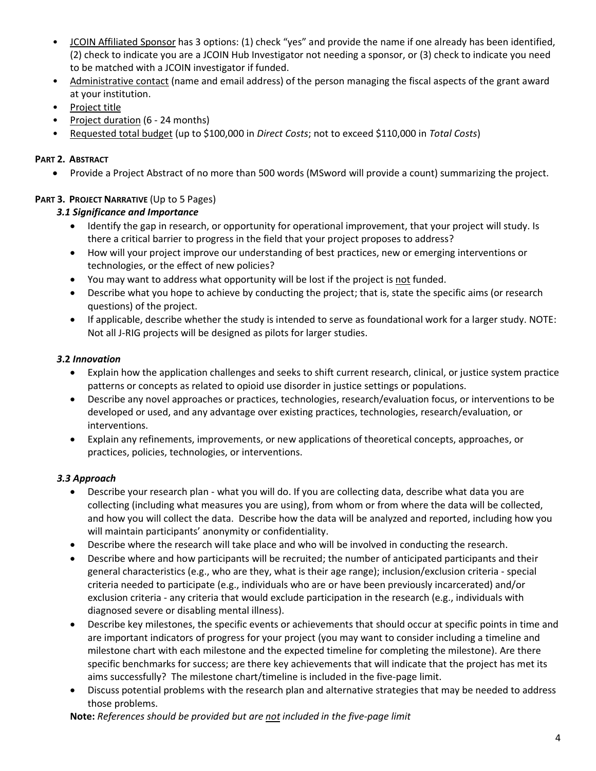- JCOIN Affiliated Sponsor has 3 options: (1) check "yes" and provide the name if one already has been identified, (2) check to indicate you are a JCOIN Hub Investigator not needing a sponsor, or (3) check to indicate you need to be matched with a JCOIN investigator if funded.
- Administrative contact (name and email address) of the person managing the fiscal aspects of the grant award at your institution.
- Project title
- Project duration (6 24 months)
- Requested total budget (up to \$100,000 in *Direct Costs*; not to exceed \$110,000 in *Total Costs*)

## **PART 2. ABSTRACT**

• Provide a Project Abstract of no more than 500 words (MSword will provide a count) summarizing the project.

## **PART 3. PROJECT NARRATIVE** (Up to 5 Pages)

## *3.1 Significance and Importance*

- Identify the gap in research, or opportunity for operational improvement, that your project will study. Is there a critical barrier to progress in the field that your project proposes to address?
- How will your project improve our understanding of best practices, new or emerging interventions or technologies, or the effect of new policies?
- You may want to address what opportunity will be lost if the project is not funded.
- Describe what you hope to achieve by conducting the project; that is, state the specific aims (or research questions) of the project.
- If applicable, describe whether the study is intended to serve as foundational work for a larger study. NOTE: Not all J-RIG projects will be designed as pilots for larger studies.

## *3***.2** *Innovation*

- Explain how the application challenges and seeks to shift current research, clinical, or justice system practice patterns or concepts as related to opioid use disorder in justice settings or populations.
- Describe any novel approaches or practices, technologies, research/evaluation focus, or interventions to be developed or used, and any advantage over existing practices, technologies, research/evaluation, or interventions.
- Explain any refinements, improvements, or new applications of theoretical concepts, approaches, or practices, policies, technologies, or interventions.

### *3.3 Approach*

- Describe your research plan what you will do. If you are collecting data, describe what data you are collecting (including what measures you are using), from whom or from where the data will be collected, and how you will collect the data. Describe how the data will be analyzed and reported, including how you will maintain participants' anonymity or confidentiality.
- Describe where the research will take place and who will be involved in conducting the research.
- Describe where and how participants will be recruited; the number of anticipated participants and their general characteristics (e.g., who are they, what is their age range); inclusion/exclusion criteria - special criteria needed to participate (e.g., individuals who are or have been previously incarcerated) and/or exclusion criteria - any criteria that would exclude participation in the research (e.g., individuals with diagnosed severe or disabling mental illness).
- Describe key milestones, the specific events or achievements that should occur at specific points in time and are important indicators of progress for your project (you may want to consider including a timeline and milestone chart with each milestone and the expected timeline for completing the milestone). Are there specific benchmarks for success; are there key achievements that will indicate that the project has met its aims successfully? The milestone chart/timeline is included in the five-page limit.
- Discuss potential problems with the research plan and alternative strategies that may be needed to address those problems.

**Note:** *References should be provided but are not included in the five-page limit*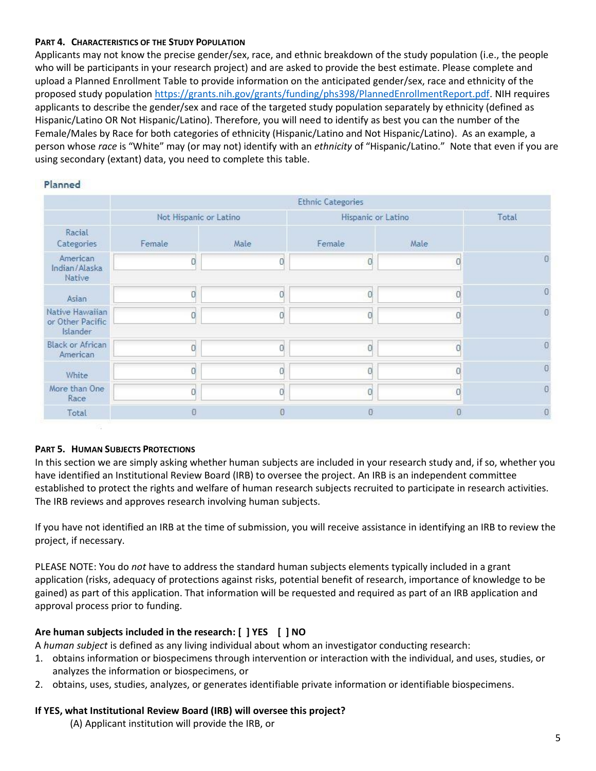### **PART 4. CHARACTERISTICS OF THE STUDY POPULATION**

Applicants may not know the precise gender/sex, race, and ethnic breakdown of the study population (i.e., the people who will be participants in your research project) and are asked to provide the best estimate. Please complete and upload a Planned Enrollment Table to provide information on the anticipated gender/sex, race and ethnicity of the proposed study population [https://grants.nih.gov/grants/funding/phs398/PlannedEnrollmentReport.pdf.](https://grants.nih.gov/grants/funding/phs398/PlannedEnrollmentReport.pdf) NIH requires applicants to describe the gender/sex and race of the targeted study population separately by ethnicity (defined as Hispanic/Latino OR Not Hispanic/Latino). Therefore, you will need to identify as best you can the number of the Female/Males by Race for both categories of ethnicity (Hispanic/Latino and Not Hispanic/Latino). As an example, a person whose *race* is "White" may (or may not) identify with an *ethnicity* of "Hispanic/Latino." Note that even if you are using secondary (extant) data, you need to complete this table.

|                                                 | <b>Ethnic Categories</b> |      |                    |      |       |
|-------------------------------------------------|--------------------------|------|--------------------|------|-------|
|                                                 | Not Hispanic or Latino   |      | Hispanic or Latino |      | Total |
| Racial<br>Categories                            | Female                   | Male | Female             | Male |       |
| American<br>Indian/Alaska<br>Native             |                          |      |                    |      |       |
| Asian                                           |                          |      |                    |      |       |
| Native Hawaiian<br>or Other Pacific<br>Islander |                          |      |                    |      |       |
| <b>Black or African</b><br>American             |                          |      |                    |      |       |
| White                                           |                          |      |                    |      |       |
| More than One<br>Race                           |                          |      |                    |      |       |
| Total                                           | 0                        | 0    | O                  | 0    | Đ     |

#### Planned

### **PART 5. HUMAN SUBJECTS PROTECTIONS**

In this section we are simply asking whether human subjects are included in your research study and, if so, whether you have identified an Institutional Review Board (IRB) to oversee the project. An IRB is an independent committee established to protect the rights and welfare of human research subjects recruited to participate in research activities. The IRB reviews and approves research involving human subjects.

If you have not identified an IRB at the time of submission, you will receive assistance in identifying an IRB to review the project, if necessary.

PLEASE NOTE: You do *not* have to address the standard human subjects elements typically included in a grant application (risks, adequacy of protections against risks, potential benefit of research, importance of knowledge to be gained) as part of this application. That information will be requested and required as part of an IRB application and approval process prior to funding.

### **Are human subjects included in the research: [ ] YES [ ] NO**

A *human [subject](http://www.hhs.gov/ohrp/humansubjects/guidance/45cfr46.html#46.102)* is defined as any living individual about whom an investigator conducting research:

- 1. obtains information or biospecimens through intervention or interaction with the individual, and uses, studies, or analyzes the information or biospecimens, or
- 2. obtains, uses, studies, analyzes, or generates identifiable private information or identifiable biospecimens.

### **If YES, what Institutional Review Board (IRB) will oversee this project?**

(A) Applicant institution will provide the IRB, or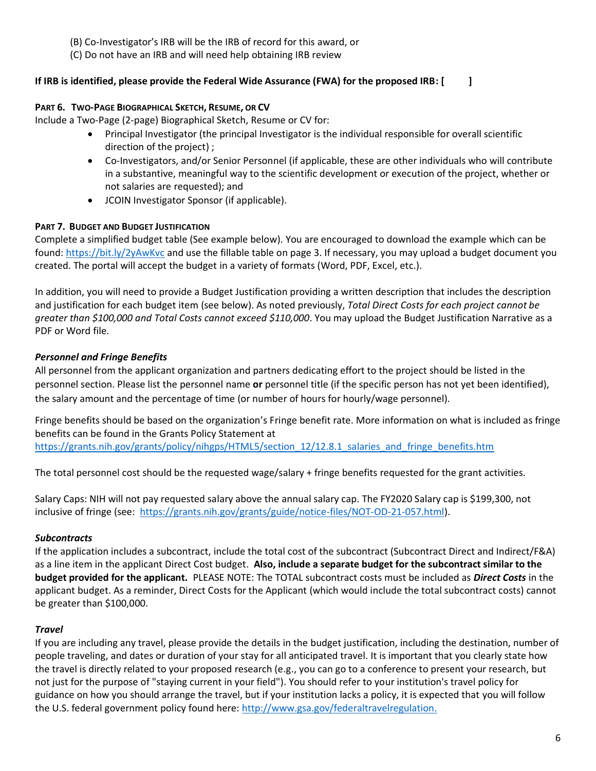- (B) Co-Investigator's IRB will be the IRB of record for this award, or
- (C) Do not have an IRB and will need help obtaining IRB review

### **If IRB is identified, please provide the Federal Wide Assurance (FWA) for the proposed IRB: [ ]**

### **PART 6. TWO-PAGE BIOGRAPHICAL SKETCH, RESUME, OR CV**

Include a Two-Page (2-page) Biographical Sketch, Resume or CV for:

- Principal Investigator (the principal Investigator is the individual responsible for overall scientific direction of the project) ;
- Co-Investigators, and/or Senior Personnel (if applicable, these are other individuals who will contribute in a substantive, meaningful way to the scientific development or execution of the project, whether or not salaries are requested); and
- JCOIN Investigator Sponsor (if applicable).

### **PART 7. BUDGET AND BUDGET JUSTIFICATION**

Complete a simplified budget table (See example below). You are encouraged to download the example which can be found:<https://bit.ly/2yAwKvc> and use the fillable table on page 3. If necessary, you may upload a budget document you created. The portal will accept the budget in a variety of formats (Word, PDF, Excel, etc.).

In addition, you will need to provide a Budget Justification providing a written description that includes the description and justification for each budget item (see below). As noted previously, *Total Direct Costs for each project cannot be greater than \$100,000 and Total Costs cannot exceed \$110,000*. You may upload the Budget Justification Narrative as a PDF or Word file.

### *Personnel and Fringe Benefits*

All personnel from the applicant organization and partners dedicating effort to the project should be listed in the personnel section. Please list the personnel name **or** personnel title (if the specific person has not yet been identified), the salary amount and the percentage of time (or number of hours for hourly/wage personnel).

Fringe benefits should be based on the organization's Fringe benefit rate. More information on what is included as fringe benefits can be found in the Grants Policy Statement at [https://grants.nih.gov/grants/policy/nihgps/HTML5/section\\_12/12.8.1\\_salaries\\_and\\_fringe\\_benefits.htm](https://grants.nih.gov/grants/policy/nihgps/HTML5/section_12/12.8.1_salaries_and_fringe_benefits.htm)

The total personnel cost should be the requested wage/salary + fringe benefits requested for the grant activities.

Salary Caps: NIH will not pay requested salary above the annual salary cap. The FY2020 Salary cap is \$199,300, not inclusive of fringe (see: [https://grants.nih.gov/grants/guide/notice-files/NOT-OD-21-057.html\)](https://grants.nih.gov/grants/guide/notice-files/NOT-OD-21-057.html).

### *Subcontracts*

If the application includes a subcontract, include the total cost of the subcontract (Subcontract Direct and Indirect/F&A) as a line item in the applicant Direct Cost budget. **Also, include a separate budget for the subcontract similar to the budget provided for the applicant.** PLEASE NOTE: The TOTAL subcontract costs must be included as *Direct Costs* in the applicant budget. As a reminder, Direct Costs for the Applicant (which would include the total subcontract costs) cannot be greater than \$100,000.

### *Travel*

If you are including any travel, please provide the details in the budget justification, including the destination, number of people traveling, and dates or duration of your stay for all anticipated travel. It is important that you clearly state how the travel is directly related to your proposed research (e.g., you can go to a conference to present your research, but not just for the purpose of "staying current in your field"). You should refer to your institution's travel policy for guidance on how you should arrange the travel, but if your institution lacks a policy, it is expected that you will follow the U.S. federal government policy found here: [http://www.gsa.gov/federaltravelregulation.](http://www.gsa.gov/federaltravelregulation)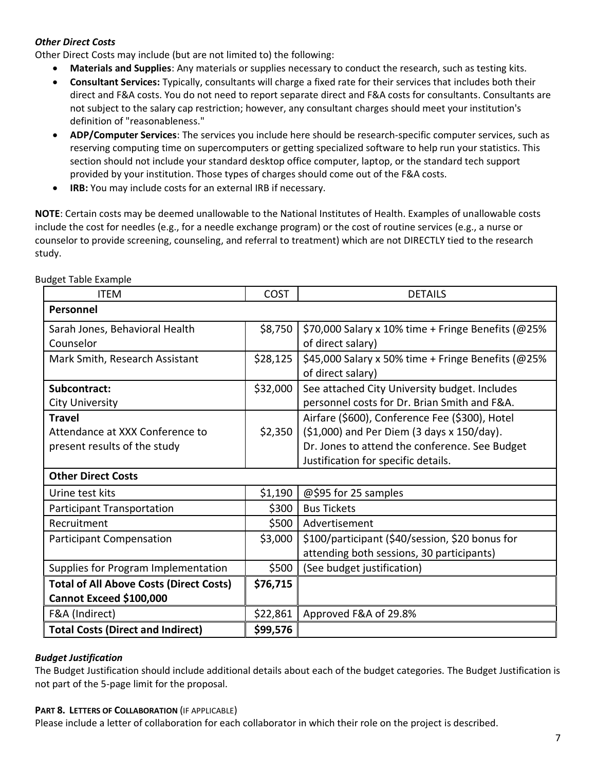### *Other Direct Costs*

Other Direct Costs may include (but are not limited to) the following:

- **Materials and Supplies**: Any materials or supplies necessary to conduct the research, such as testing kits.
- **Consultant Services:** Typically, consultants will charge a fixed rate for their services that includes both their direct and F&A costs. You do not need to report separate direct and F&A costs for consultants. Consultants are not subject to the salary cap restriction; however, any consultant charges should meet your institution's definition of "reasonableness."
- **ADP/Computer Services**: The services you include here should be research-specific computer services, such as reserving computing time on supercomputers or getting specialized software to help run your statistics. This section should not include your standard desktop office computer, laptop, or the standard tech support provided by your institution. Those types of charges should come out of the F&A costs.
- **IRB:** You may include costs for an external IRB if necessary.

**NOTE**: Certain costs may be deemed unallowable to the National Institutes of Health. Examples of unallowable costs include the cost for needles (e.g., for a needle exchange program) or the cost of routine services (e.g., a nurse or counselor to provide screening, counseling, and referral to treatment) which are not DIRECTLY tied to the research study.

| <b>ITEM</b>                                    | <b>COST</b> | <b>DETAILS</b>                                      |
|------------------------------------------------|-------------|-----------------------------------------------------|
| Personnel                                      |             |                                                     |
| Sarah Jones, Behavioral Health                 | \$8,750     | \$70,000 Salary x 10% time + Fringe Benefits (@25%) |
| Counselor                                      |             | of direct salary)                                   |
| Mark Smith, Research Assistant                 | \$28,125    | \$45,000 Salary x 50% time + Fringe Benefits (@25%) |
|                                                |             | of direct salary)                                   |
| Subcontract:                                   | \$32,000    | See attached City University budget. Includes       |
| <b>City University</b>                         |             | personnel costs for Dr. Brian Smith and F&A.        |
| <b>Travel</b>                                  |             | Airfare (\$600), Conference Fee (\$300), Hotel      |
| Attendance at XXX Conference to                | \$2,350     | (\$1,000) and Per Diem (3 days x 150/day).          |
| present results of the study                   |             | Dr. Jones to attend the conference. See Budget      |
|                                                |             | Justification for specific details.                 |
| <b>Other Direct Costs</b>                      |             |                                                     |
| Urine test kits                                | \$1,190     | @\$95 for 25 samples                                |
| <b>Participant Transportation</b>              | \$300       | <b>Bus Tickets</b>                                  |
| Recruitment                                    | \$500       | Advertisement                                       |
| <b>Participant Compensation</b>                | \$3,000     | \$100/participant (\$40/session, \$20 bonus for     |
|                                                |             | attending both sessions, 30 participants)           |
| Supplies for Program Implementation            | \$500       | (See budget justification)                          |
| <b>Total of All Above Costs (Direct Costs)</b> | \$76,715    |                                                     |
| Cannot Exceed \$100,000                        |             |                                                     |
| F&A (Indirect)                                 | \$22,861    | Approved F&A of 29.8%                               |
| <b>Total Costs (Direct and Indirect)</b>       | \$99,576    |                                                     |

Budget Table Example

## *Budget Justification*

The Budget Justification should include additional details about each of the budget categories. The Budget Justification is not part of the 5-page limit for the proposal.

### **PART 8. LETTERS OF COLLABORATION** (IF APPLICABLE)

Please include a letter of collaboration for each collaborator in which their role on the project is described.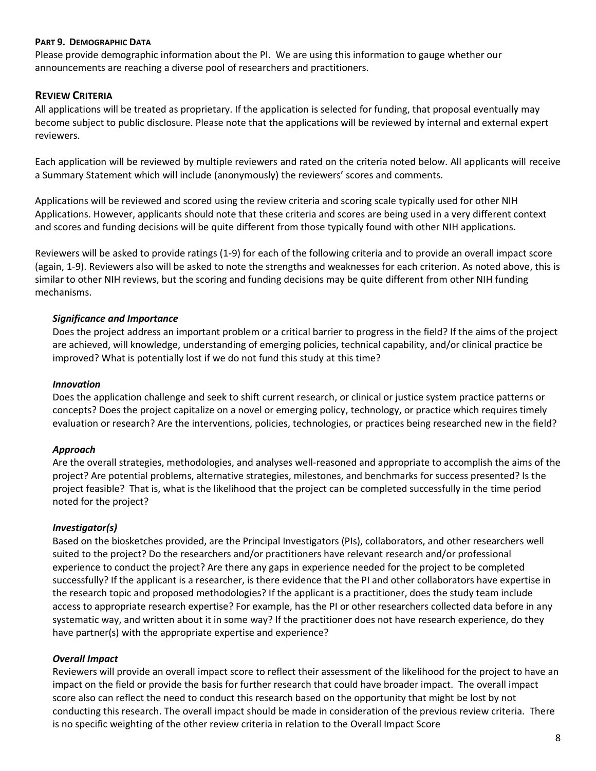#### **PART 9. DEMOGRAPHIC DATA**

Please provide demographic information about the PI. We are using this information to gauge whether our announcements are reaching a diverse pool of researchers and practitioners.

### **REVIEW CRITERIA**

All applications will be treated as proprietary. If the application is selected for funding, that proposal eventually may become subject to public disclosure. Please note that the applications will be reviewed by internal and external expert reviewers.

Each application will be reviewed by multiple reviewers and rated on the criteria noted below. All applicants will receive a Summary Statement which will include (anonymously) the reviewers' scores and comments.

Applications will be reviewed and scored using the review criteria and scoring scale typically used for other NIH Applications. However, applicants should note that these criteria and scores are being used in a very different context and scores and funding decisions will be quite different from those typically found with other NIH applications.

Reviewers will be asked to provide ratings (1-9) for each of the following criteria and to provide an overall impact score (again, 1-9). Reviewers also will be asked to note the strengths and weaknesses for each criterion. As noted above, this is similar to other NIH reviews, but the scoring and funding decisions may be quite different from other NIH funding mechanisms.

### *Significance and Importance*

Does the project address an important problem or a critical barrier to progress in the field? If the aims of the project are achieved, will knowledge, understanding of emerging policies, technical capability, and/or clinical practice be improved? What is potentially lost if we do not fund this study at this time?

#### *Innovation*

Does the application challenge and seek to shift current research, or clinical or justice system practice patterns or concepts? Does the project capitalize on a novel or emerging policy, technology, or practice which requires timely evaluation or research? Are the interventions, policies, technologies, or practices being researched new in the field?

### *Approach*

Are the overall strategies, methodologies, and analyses well-reasoned and appropriate to accomplish the aims of the project? Are potential problems, alternative strategies, milestones, and benchmarks for success presented? Is the project feasible? That is, what is the likelihood that the project can be completed successfully in the time period noted for the project?

### *Investigator(s)*

Based on the biosketches provided, are the Principal Investigators (PIs), collaborators, and other researchers well suited to the project? Do the researchers and/or practitioners have relevant research and/or professional experience to conduct the project? Are there any gaps in experience needed for the project to be completed successfully? If the applicant is a researcher, is there evidence that the PI and other collaborators have expertise in the research topic and proposed methodologies? If the applicant is a practitioner, does the study team include access to appropriate research expertise? For example, has the PI or other researchers collected data before in any systematic way, and written about it in some way? If the practitioner does not have research experience, do they have partner(s) with the appropriate expertise and experience?

### *Overall Impact*

Reviewers will provide an overall impact score to reflect their assessment of the likelihood for the project to have an impact on the field or provide the basis for further research that could have broader impact. The overall impact score also can reflect the need to conduct this research based on the opportunity that might be lost by not conducting this research. The overall impact should be made in consideration of the previous review criteria. There is no specific weighting of the other review criteria in relation to the Overall Impact Score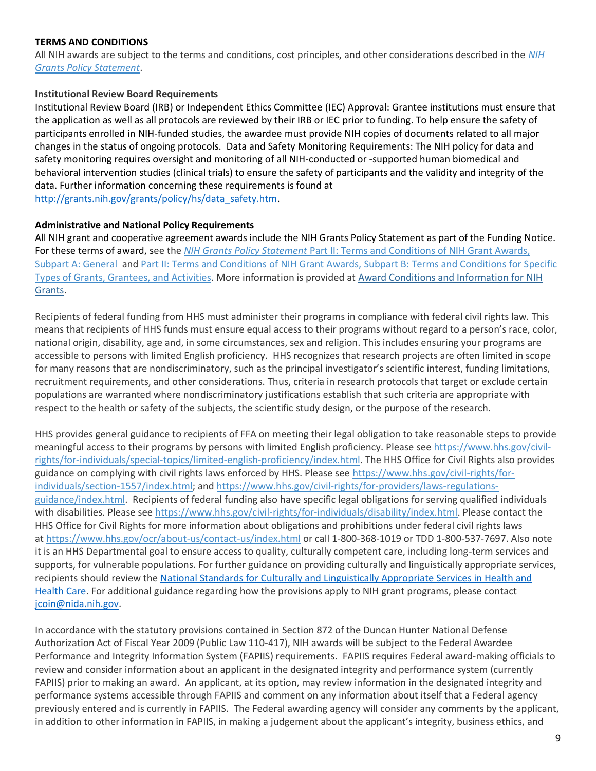### **TERMS AND CONDITIONS**

All NIH awards are subject to the terms and conditions, cost principles, and other considerations described in the *[NIH](https://grants.nih.gov/grants/guide/url_redirect.htm?id=11120)  [Grants Policy Statement](https://grants.nih.gov/grants/guide/url_redirect.htm?id=11120)*.

### **Institutional Review Board Requirements**

Institutional Review Board (IRB) or Independent Ethics Committee (IEC) Approval: Grantee institutions must ensure that the application as well as all protocols are reviewed by their IRB or IEC prior to funding. To help ensure the safety of participants enrolled in NIH-funded studies, the awardee must provide NIH copies of documents related to all major changes in the status of ongoing protocols. Data and Safety Monitoring Requirements: The NIH policy for data and safety monitoring requires oversight and monitoring of all NIH-conducted or -supported human biomedical and behavioral intervention studies (clinical trials) to ensure the safety of participants and the validity and integrity of the data. Further information concerning these requirements is found at [http://grants.nih.gov/grants/policy/hs/data\\_safety.htm.](http://grants.nih.gov/grants/policy/hs/data_safety.htm)

### **Administrative and National Policy Requirements**

All NIH grant and cooperative agreement awards include the NIH Grants Policy Statement as part of the Funding Notice. For these terms of award, see the *NIH Grants Policy Statement* [Part II: Terms and Conditions of NIH Grant Awards,](https://grants.nih.gov/grants/guide/url_redirect.htm?id=11157)  [Subpart A: General](https://grants.nih.gov/grants/guide/url_redirect.htm?id=11157) and [Part II: Terms and Conditions of NIH Grant Awards, Subpart B: Terms and Conditions for Specific](https://grants.nih.gov/grants/guide/url_redirect.htm?id=11159)  [Types of Grants, Grantees, and Activities.](https://grants.nih.gov/grants/guide/url_redirect.htm?id=11159) More information is provided at [Award Conditions and Information for NIH](https://grants.nih.gov/grants/guide/url_redirect.htm?id=11158)  [Grants.](https://grants.nih.gov/grants/guide/url_redirect.htm?id=11158)

Recipients of federal funding from HHS must administer their programs in compliance with federal civil rights law. This means that recipients of HHS funds must ensure equal access to their programs without regard to a person's race, color, national origin, disability, age and, in some circumstances, sex and religion. This includes ensuring your programs are accessible to persons with limited English proficiency. HHS recognizes that research projects are often limited in scope for many reasons that are nondiscriminatory, such as the principal investigator's scientific interest, funding limitations, recruitment requirements, and other considerations. Thus, criteria in research protocols that target or exclude certain populations are warranted where nondiscriminatory justifications establish that such criteria are appropriate with respect to the health or safety of the subjects, the scientific study design, or the purpose of the research.

HHS provides general guidance to recipients of FFA on meeting their legal obligation to take reasonable steps to provide meaningful access to their programs by persons with limited English proficiency. Please see [https://www.hhs.gov/civil](https://www.hhs.gov/civil-rights/for-individuals/special-topics/limited-english-proficiency/index.html)[rights/for-individuals/special-topics/limited-english-proficiency/index.html.](https://www.hhs.gov/civil-rights/for-individuals/special-topics/limited-english-proficiency/index.html) The HHS Office for Civil Rights also provides guidance on complying with civil rights laws enforced by HHS. Please see [https://www.hhs.gov/civil-rights/for](https://www.hhs.gov/civil-rights/for-individuals/section-1557/index.html)[individuals/section-1557/index.html;](https://www.hhs.gov/civil-rights/for-individuals/section-1557/index.html) and [https://www.hhs.gov/civil-rights/for-providers/laws-regulations](https://www.hhs.gov/civil-rights/for-providers/laws-regulations-guidance/index.html)[guidance/index.html.](https://www.hhs.gov/civil-rights/for-providers/laws-regulations-guidance/index.html) Recipients of federal funding also have specific legal obligations for serving qualified individuals with disabilities. Please see [https://www.hhs.gov/civil-rights/for-individuals/disability/index.html.](https://www.hhs.gov/civil-rights/for-individuals/disability/index.html) Please contact the HHS Office for Civil Rights for more information about obligations and prohibitions under federal civil rights laws at <https://www.hhs.gov/ocr/about-us/contact-us/index.html> or call 1-800-368-1019 or TDD 1-800-537-7697. Also note it is an HHS Departmental goal to ensure access to quality, culturally competent care, including long-term services and supports, for vulnerable populations. For further guidance on providing culturally and linguistically appropriate services, recipients should review the [National Standards for Culturally and Linguistically Appropriate Services in Health and](http://minorityhealth.hhs.gov/omh/browse.aspx?lvl=2&lvlid=53)  [Health Care.](http://minorityhealth.hhs.gov/omh/browse.aspx?lvl=2&lvlid=53) For additional guidance regarding how the provisions apply to NIH grant programs, please contact [jcoin@nida.nih.gov.](mailto:jcoin@nida.nih.gov)

In accordance with the statutory provisions contained in Section 872 of the Duncan Hunter National Defense Authorization Act of Fiscal Year 2009 (Public Law 110-417), NIH awards will be subject to the Federal Awardee Performance and Integrity Information System (FAPIIS) requirements. FAPIIS requires Federal award-making officials to review and consider information about an applicant in the designated integrity and performance system (currently FAPIIS) prior to making an award. An applicant, at its option, may review information in the designated integrity and performance systems accessible through FAPIIS and comment on any information about itself that a Federal agency previously entered and is currently in FAPIIS. The Federal awarding agency will consider any comments by the applicant, in addition to other information in FAPIIS, in making a judgement about the applicant's integrity, business ethics, and